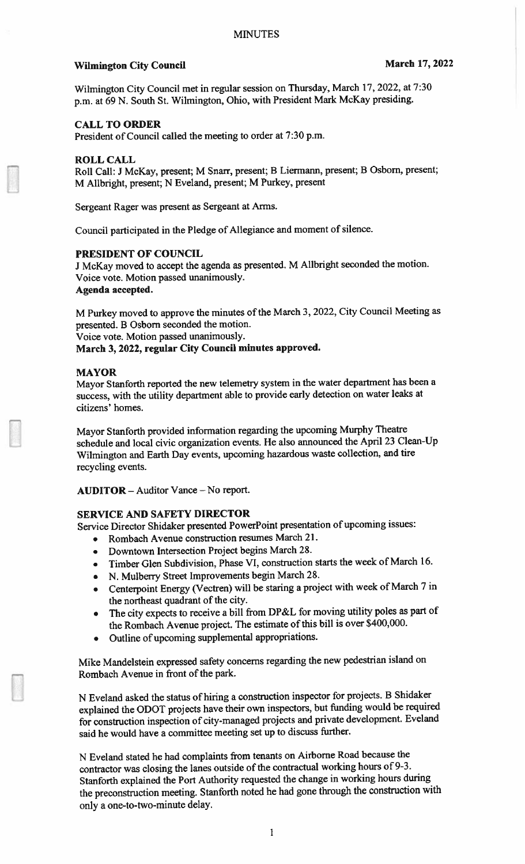# Wilmington City Council March 17, 2022

Wilmington City Council met in regular session on Thursday, March 17. 2022, at 7:30 p.m. at <sup>69</sup> N. South St. Wilmington, Ohio, with President Mark McKay presiding.

## CALL TO ORDER

President of Council called the meeting to order at 7:30 p.m.

#### ROLL CALL

Roll Call: <sup>J</sup> McKay, present; <sup>M</sup> Snarr, present; <sup>B</sup> Liermann, present; <sup>B</sup> Osborn, present; M Alibright, present; <sup>N</sup> Eveland, present; <sup>M</sup> Purkey, presen<sup>t</sup>

Sergeant Rager was presen<sup>t</sup> as Sergeant at Arms.

Council participated in the Pledge of Allegiance and moment of silence.

#### PRESIDENT OF COUNCIL

<sup>J</sup> McKay moved to accep<sup>t</sup> the agenda as presented. <sup>M</sup> Allbright seconded the motion. Voice vote. Motion passed unanimously. Agenda accepted.

M Purkey moved to approve the minutes of the March 3, 2022, City Council Meeting as presented. <sup>B</sup> Osbom seconded the motion. Voice vote. Motion passed unanimously.

March 3, 2022, regular City Council minutes approved.

#### MAYOR

Mayor Stanforth reported the new- telemetry system in the water department has been <sup>a</sup> success, with the utility department able to provide early detection on water leaks at citizens' homes.

Mayor Stanforth provided information regarding the upcoming Murphy Theatre schedule and local civic organization events. He also announced the April <sup>23</sup> Clean-Up Wilmington and Earth Day events, upcoming hazardous waste collection, and tire recycling events.

AUDITOR -Auditor Vance — No report.

## SERVICE AND SAFETY DIRECTOR

Service Director Shidaker presented PowerPoint presentation of upcoming issues:

- Rombach Avenue construction resumes March 21.
- Downtown Intersection Project begins March 28.
- •Timber Glen Subdivision, Phase VI, construction starts the week of March 16.
- N. Mulberry Street Improvements begin March 28.
- Centerpoint Energy (Vectren) will be staring a project with week of March 7 in the northeast quadrant of the city.
- • The city expects to receive <sup>a</sup> bill from DP&L for moving utility poles as par<sup>t</sup> of the Rombach Avenue project. The estimate of this bill is over \$400,000.
- •Outline of upcoming supplemental appropriations.

Mike Mandelstein expresse<sup>d</sup> safety concerns regarding the new pedestrian island on Rombach Avenue in front of the park.

<sup>N</sup> Eveland asked the status of hiring <sup>a</sup> construction inspector for projects. <sup>B</sup> Shidaker explained the ODOT projects have their own inspectors, but funding would be required for construction inspection of city-managed projects and private development. Eveland said he would have <sup>a</sup> committee meeting set up to discuss further.

<sup>N</sup> Eveland stated he had complaints from tenants on Airborne Road because the contractor was closing the lanes outside of the contractual working hours of 9-3. Stanforth explained the Port Authority requested the change in working hours during the preconstruction meeting. Stanforth noted he had gone through the construction with only <sup>a</sup> one-to-two-minute delay.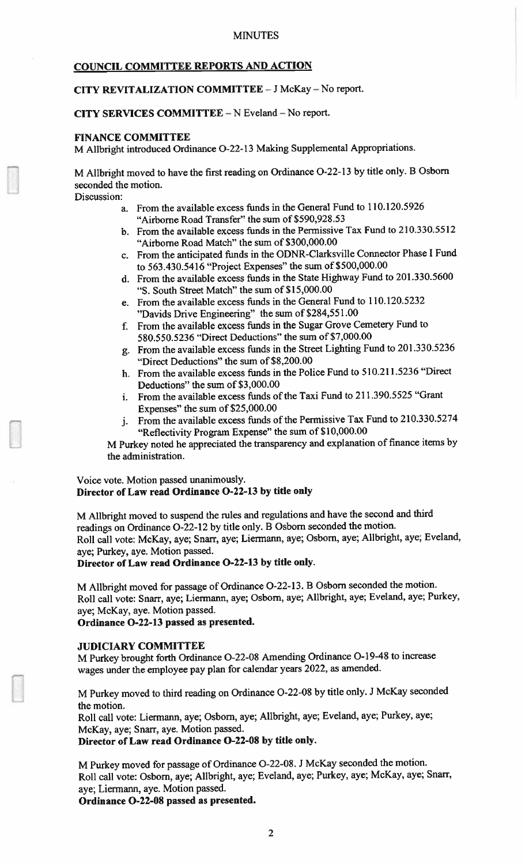## COUNCIL COMMITTEE REPORTS AND ACTION

# CITY REVITALIZATION COMMITTEE - J McKay - No report.

#### CITY SERVICES COMMITTEE -<sup>N</sup> Eveland -No report.

#### FINANCE COMMITTEE

M Allbright introduced Ordinance 0-22-13 Making Supplemental Appropriations.

M Alibright moved to have the first reading on Ordinance 0-22-13 by title only. <sup>B</sup> Osborn seconded the motion.

Discussion:

- a. From the available excess funds in the General Fund to 110.120.5926 "Airborne Road Transfer" the sum of \$590,928.53
- b. From the available excess funds in the Permissive Tax Fund to 210.330.5512 "Airborne Road Match" the sum of \$300,000.00
- c. From the anticipated funds in the ODNR-Clarksville Connector Phase <sup>I</sup> Fund to 563.430.5416 "Project Expenses" the sum of \$500,000.00
- d. From the available excess funds in the State Highway Fund to 201.330.5600 "S. South Street Match" the sum of \$15,000.00
- e. From the available excess funds in the General Fund to 110.120.5232 "Davids Drive Engineering" the sum of \$284,551.00
- f. From the available excess funds in the Sugar Grove Cemetery Fund to 580.550.5236 "Direct Deductions" the sum of \$7,000.00
- g. From the available excess funds in the Street Lighting Fund to 201.330.5236 "Direct Deductions" the sum of S8,200.00
- h. From the available excess funds in the Police Fund to 510.211.5236 "Direct Deductions" the sum of \$3,000.00
- i. From the available excess funds of the Taxi Fund to 211.390.5525 "Grant Expenses" the sum of \$25,000.00
- j. From the available excess funds of the Permissive Tax Fund to 210.330.5274 "Reflectivity Program Expense" the sum of \$10,000.00

M Purkey noted he appreciated the transparency and explanation of finance items by the administration.

### Voice vote. Motion passed unanimously. Director of Law read Ordinance 0-22-13 by title only

M Allbright moved to suspen<sup>d</sup> the rules and regulations and have the second and third readings on Ordinance 0-22-12 by title only. <sup>B</sup> Osbom seconded the motion. Roll call vote: McKay, aye; Snarr, aye; Liermann, aye; Osborn, aye; Allbright, aye; Eveland, aye; Purkey, aye. Motion passed.

Director of Law read Ordinance 0-22-13 by title only.

M Alibright moved for passage of Ordinance 0-22-13. <sup>B</sup> Osbom seconded the motion. Roll call vote: Snarr, aye; Liermann, aye: Osbom, aye; Alibright, aye; Eveland, aye; Purkey, aye; McKay, aye. Motion passed.

Ordinance 0-22-13 passed as presented.

## JUDICIARY COMMITTEE

M Purkey brought forth Ordinance 0-22-08 Amending Ordinance 0-19-48 to increase wages under the employee pay <sup>p</sup>lan for calendar years 2022, as amended.

M Purkey moved to third reading on Ordinance 0-22-08 by title only. <sup>J</sup> McKay seconded the motion.

Roll call vote: Liermann, aye; Osbom, aye; Alibright, aye; Eveland, aye; Purkey, aye; McKay, aye; Snarr, aye. Motion passed.

Director of Law read Ordinance 0-22-08 by title only.

M Purkey moved for passage of Ordinance 0-22-08. <sup>J</sup> McKay seconded the motion. Roll call vote: Osborn, aye; Allbright, aye; Eveland, aye; Purkey, aye; McKay, aye; Snarr, aye; Liermann, aye. Motion passed.

Ordinance 0-22-08 passed as presented.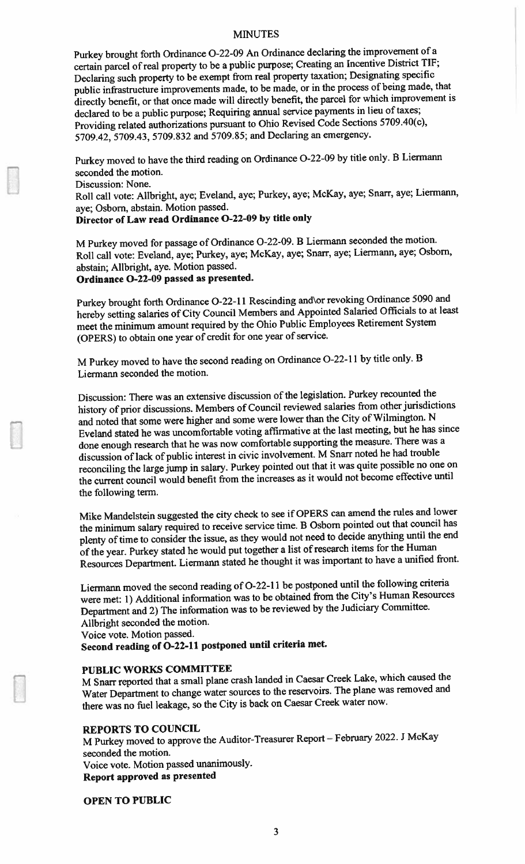#### MINUTES

Purkey brought forth Ordinance 0-22-09 An Ordinance declaring the improvement of <sup>a</sup> certain parce<sup>l</sup> of real property to be <sup>a</sup> public purpose; Creating an Incentive District TIF; Declaring such property to be exemp<sup>t</sup> from real property taxation; Designating specific public infrastructure improvements made, to be made, or in the process of being made, that directly benefit, or that once made will directly benefit, the parce<sup>l</sup> for which improvement is declared to be a public purpose; Requiring annual service payments in lieu of taxes; Providing related authorizations pursuan<sup>t</sup> to Ohio Revised Code Sections 5709.40(c), 5709.42, 5709.43, 5709.832 and 5709.85; and Declaring an emergency.

Purkey moved to have the third reading on Ordinance 0-22-09 by title only. <sup>B</sup> Liermann seconded the motion.

Discussion: None.

Roll call vote: Allbright, aye; Eveland, aye; Purkey, aye; McKay, aye; Snarr, aye; Liermann, aye; Osborn, abstain. Motion passed.

## Director of Law read Ordinance 0-22-09 by title only

M Purkey moved for passage of Ordinance 0-22-09. <sup>B</sup> Liermann seconded the motion. Roll call vote: Eveland, aye; Purkey. aye; McKay, aye; Snarr, aye; Liermann, aye; Osborn, abstain; Allbright, aye. Motion passed.

## Ordinance 0-22-09 passe<sup>d</sup> as presented.

Purkey brought forth Ordinance 0-22-11 Rescinding and\or revoking Ordinance <sup>5090</sup> and hereby setting salaries of City Council Members and Appointed Salaried Officials to at least meet the minimum amount required by the Ohio Public Employees Retirement System (OPERS) to obtain one year of credit for one year of service.

M Purkey moved to have the second reading on Ordinance 0-22-11 by title only. <sup>B</sup> Liermann seconded the motion.

Discussion: There was an extensive discussion of the legislation. Purkey recounted the history of prior discussions. Members of Council reviewed salaries from other jurisdictions and noted that some were higher and some were lower than the City of Wilmington. <sup>N</sup> Eveland stated he was uncomfortable voting affirmative at the last meeting, but he has since done enoug<sup>h</sup> research that he was now comfortable supporting the measure. There was <sup>a</sup> discussion of lack of public interest in civic involvement. <sup>M</sup> Snarr noted he had trouble reconciling the large jump in salary. Purkey pointed out that it was quite possible no one on the current council would benefit from the increases as it would not become effective until the following term.

Mike Mandelstein suggested the city check to see if OPERS can amend the rules and lower the minimum salary required to receive service time. <sup>B</sup> Osborn pointed out that council has plenty of time to consider the issue, as they would not need to decide anything until the end of the year. Purkey stated he would pu<sup>t</sup> together <sup>a</sup> list ofresearch items for the Human Resources Department. Liermann stated he thought it was important to have <sup>a</sup> unified front.

Liermann moved the second reading of 0-22-Il be postpone<sup>d</sup> until the following criteria were met: 1) Additional information was to be obtained from the City's Human Resources Department and 2) The information was to be reviewed by the Judiciary Committee. Allbright seconded the motion.

Voice vote. Motion passed.

Second reading of 0-22-11 postpone<sup>d</sup> until criteria met.

#### PUBLIC WORKS COMMITTEE

M Snarr reported that a small plane crash landed in Caesar Creek Lake, which caused the Water Department to change water sources to the reservoirs. The <sup>p</sup>lane was removed and there was no fuel leakage, so the City is back on Caesar Creek water now.

#### REPORTS TO COUNCIL

M Purkey moved to approve the Auditor-Treasurer Report — February 2022. <sup>J</sup> McKay seconded the motion. Voice vote. Motion passe<sup>d</sup> unanimously. Report approve<sup>d</sup> as presented

OPEN TO PUBLIC